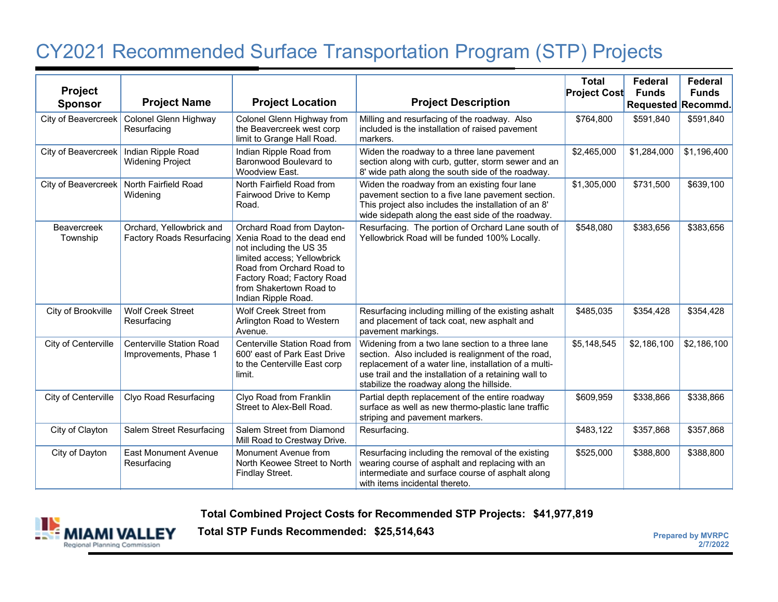## CY2021 Recommended Surface Transportation Program (STP) Project s

| Project<br><b>Sponsor</b>      | <b>Project Name</b>                                          | <b>Project Location</b>                                                                                                                                                                                                        | <b>Project Description</b>                                                                                                                                                                                                                                            | <b>Total</b><br><b>Project Cost</b> | Federal<br><b>Funds</b><br>Requested Recommd. | <b>Federal</b><br><b>Funds</b> |
|--------------------------------|--------------------------------------------------------------|--------------------------------------------------------------------------------------------------------------------------------------------------------------------------------------------------------------------------------|-----------------------------------------------------------------------------------------------------------------------------------------------------------------------------------------------------------------------------------------------------------------------|-------------------------------------|-----------------------------------------------|--------------------------------|
| City of Beavercreek            | Colonel Glenn Highway<br>Resurfacing                         | Colonel Glenn Highway from<br>the Beavercreek west corp<br>limit to Grange Hall Road.                                                                                                                                          | Milling and resurfacing of the roadway. Also<br>included is the installation of raised pavement<br>markers.                                                                                                                                                           | \$764,800                           | \$591,840                                     | \$591,840                      |
| City of Beavercreek            | Indian Ripple Road<br><b>Widening Project</b>                | Indian Ripple Road from<br>Baronwood Boulevard to<br>Woodview East.                                                                                                                                                            | Widen the roadway to a three lane pavement<br>section along with curb, gutter, storm sewer and an<br>8' wide path along the south side of the roadway.                                                                                                                | \$2,465,000                         | \$1,284,000                                   | \$1,196,400                    |
| City of Beavercreek            | North Fairfield Road<br>Widening                             | North Fairfield Road from<br>Fairwood Drive to Kemp<br>Road.                                                                                                                                                                   | Widen the roadway from an existing four lane<br>pavement section to a five lane pavement section.<br>This project also includes the installation of an 8'<br>wide sidepath along the east side of the roadway.                                                        | \$1,305,000                         | \$731,500                                     | \$639,100                      |
| <b>Beavercreek</b><br>Township | Orchard, Yellowbrick and<br><b>Factory Roads Resurfacing</b> | Orchard Road from Dayton-<br>Xenia Road to the dead end<br>not including the US 35<br>limited access; Yellowbrick<br>Road from Orchard Road to<br>Factory Road; Factory Road<br>from Shakertown Road to<br>Indian Ripple Road. | Resurfacing. The portion of Orchard Lane south of<br>Yellowbrick Road will be funded 100% Locally.                                                                                                                                                                    | \$548,080                           | \$383,656                                     | \$383,656                      |
| City of Brookville             | <b>Wolf Creek Street</b><br>Resurfacing                      | <b>Wolf Creek Street from</b><br>Arlington Road to Western<br>Avenue.                                                                                                                                                          | Resurfacing including milling of the existing ashalt<br>and placement of tack coat, new asphalt and<br>pavement markings.                                                                                                                                             | \$485,035                           | \$354,428                                     | \$354,428                      |
| City of Centerville            | <b>Centerville Station Road</b><br>Improvements, Phase 1     | Centerville Station Road from<br>600' east of Park East Drive<br>to the Centerville East corp<br>limit.                                                                                                                        | Widening from a two lane section to a three lane<br>section. Also included is realignment of the road,<br>replacement of a water line, installation of a multi-<br>use trail and the installation of a retaining wall to<br>stabilize the roadway along the hillside. | \$5,148,545                         | \$2,186,100                                   | \$2,186,100                    |
| City of Centerville            | <b>Clyo Road Resurfacing</b>                                 | Clyo Road from Franklin<br>Street to Alex-Bell Road.                                                                                                                                                                           | Partial depth replacement of the entire roadway<br>surface as well as new thermo-plastic lane traffic<br>striping and pavement markers.                                                                                                                               | \$609,959                           | \$338,866                                     | \$338,866                      |
| City of Clayton                | Salem Street Resurfacing                                     | Salem Street from Diamond<br>Mill Road to Crestway Drive.                                                                                                                                                                      | Resurfacing.                                                                                                                                                                                                                                                          | \$483,122                           | \$357,868                                     | \$357,868                      |
| City of Dayton                 | <b>East Monument Avenue</b><br>Resurfacing                   | Monument Avenue from<br>North Keowee Street to North<br>Findlay Street.                                                                                                                                                        | Resurfacing including the removal of the existing<br>wearing course of asphalt and replacing with an<br>intermediate and surface course of asphalt along<br>with items incidental thereto.                                                                            | \$525,000                           | \$388,800                                     | \$388,800                      |

**Total Combined Project Costs for Recommended STP Projects: \$41,977,819**



**Total STP Funds Recommended: \$25,514,643 Prepared by MVRPC Prepared by MVRPC**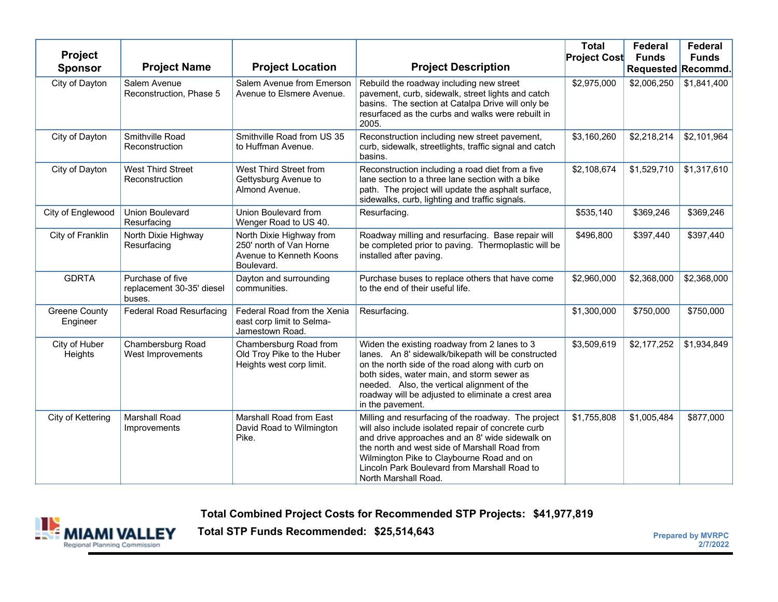| Project<br><b>Sponsor</b>        | <b>Project Name</b>                                     | <b>Project Location</b>                                                                      | <b>Project Description</b>                                                                                                                                                                                                                                                                                                         | <b>Total</b><br><b>Project Cost</b> | Federal<br><b>Funds</b><br>Requested Recommd. | Federal<br><b>Funds</b> |
|----------------------------------|---------------------------------------------------------|----------------------------------------------------------------------------------------------|------------------------------------------------------------------------------------------------------------------------------------------------------------------------------------------------------------------------------------------------------------------------------------------------------------------------------------|-------------------------------------|-----------------------------------------------|-------------------------|
| City of Dayton                   | Salem Avenue<br>Reconstruction, Phase 5                 | Salem Avenue from Emerson<br>Avenue to Elsmere Avenue.                                       | Rebuild the roadway including new street<br>pavement, curb, sidewalk, street lights and catch<br>basins. The section at Catalpa Drive will only be<br>resurfaced as the curbs and walks were rebuilt in<br>2005.                                                                                                                   | \$2,975,000                         | \$2,006,250                                   | \$1,841,400             |
| City of Dayton                   | Smithville Road<br>Reconstruction                       | Smithville Road from US 35<br>to Huffman Avenue.                                             | Reconstruction including new street pavement,<br>curb, sidewalk, streetlights, traffic signal and catch<br>basins.                                                                                                                                                                                                                 | \$3,160,260                         | \$2,218,214                                   | \$2,101,964             |
| City of Dayton                   | <b>West Third Street</b><br>Reconstruction              | West Third Street from<br>Gettysburg Avenue to<br>Almond Avenue.                             | Reconstruction including a road diet from a five<br>lane section to a three lane section with a bike<br>path. The project will update the asphalt surface,<br>sidewalks, curb, lighting and traffic signals.                                                                                                                       | \$2,108,674                         | \$1,529,710                                   | \$1,317,610             |
| City of Englewood                | <b>Union Boulevard</b><br>Resurfacing                   | Union Boulevard from<br>Wenger Road to US 40.                                                | Resurfacing.                                                                                                                                                                                                                                                                                                                       | \$535,140                           | \$369,246                                     | \$369,246               |
| City of Franklin                 | North Dixie Highway<br>Resurfacing                      | North Dixie Highway from<br>250' north of Van Horne<br>Avenue to Kenneth Koons<br>Boulevard. | Roadway milling and resurfacing. Base repair will<br>be completed prior to paving. Thermoplastic will be<br>installed after paving.                                                                                                                                                                                                | \$496,800                           | \$397,440                                     | \$397,440               |
| <b>GDRTA</b>                     | Purchase of five<br>replacement 30-35' diesel<br>buses. | Dayton and surrounding<br>communities.                                                       | Purchase buses to replace others that have come<br>to the end of their useful life.                                                                                                                                                                                                                                                | \$2,960,000                         | \$2,368,000                                   | \$2,368,000             |
| <b>Greene County</b><br>Engineer | <b>Federal Road Resurfacing</b>                         | Federal Road from the Xenia<br>east corp limit to Selma-<br>Jamestown Road.                  | Resurfacing.                                                                                                                                                                                                                                                                                                                       | \$1,300,000                         | \$750,000                                     | \$750,000               |
| City of Huber<br>Heights         | Chambersburg Road<br>West Improvements                  | Chambersburg Road from<br>Old Troy Pike to the Huber<br>Heights west corp limit.             | Widen the existing roadway from 2 lanes to 3<br>lanes. An 8' sidewalk/bikepath will be constructed<br>on the north side of the road along with curb on<br>both sides, water main, and storm sewer as<br>needed. Also, the vertical alignment of the<br>roadway will be adjusted to eliminate a crest area<br>in the pavement.      | \$3,509,619                         | \$2,177,252                                   | \$1,934,849             |
| City of Kettering                | <b>Marshall Road</b><br>Improvements                    | Marshall Road from East<br>David Road to Wilmington<br>Pike.                                 | Milling and resurfacing of the roadway. The project<br>will also include isolated repair of concrete curb<br>and drive approaches and an 8' wide sidewalk on<br>the north and west side of Marshall Road from<br>Wilmington Pike to Claybourne Road and on<br>Lincoln Park Boulevard from Marshall Road to<br>North Marshall Road. | \$1,755,808                         | \$1,005,484                                   | \$877,000               |

**Total Combined Project Costs for Recommended STP Projects: \$41,977,819**



**Total STP Funds Recommended: \$25,514,643** 

**2/7/2022**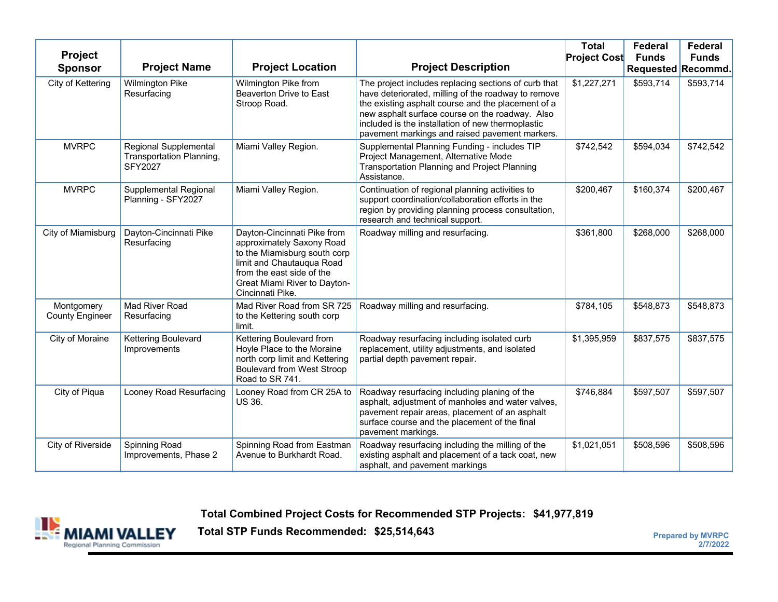| <b>Project</b><br><b>Sponsor</b>     | <b>Project Name</b>                                                 | <b>Project Location</b>                                                                                                                                                                                | <b>Project Description</b>                                                                                                                                                                                                                                                                                                  | <b>Total</b><br><b>Project Cost</b> | Federal<br><b>Funds</b><br>Requested Recommd. | Federal<br><b>Funds</b> |
|--------------------------------------|---------------------------------------------------------------------|--------------------------------------------------------------------------------------------------------------------------------------------------------------------------------------------------------|-----------------------------------------------------------------------------------------------------------------------------------------------------------------------------------------------------------------------------------------------------------------------------------------------------------------------------|-------------------------------------|-----------------------------------------------|-------------------------|
| City of Kettering                    | Wilmington Pike<br>Resurfacing                                      | Wilmington Pike from<br>Beaverton Drive to East<br>Stroop Road.                                                                                                                                        | The project includes replacing sections of curb that<br>have deteriorated, milling of the roadway to remove<br>the existing asphalt course and the placement of a<br>new asphalt surface course on the roadway. Also<br>included is the installation of new thermoplastic<br>pavement markings and raised pavement markers. | \$1,227,271                         | \$593,714                                     | \$593,714               |
| <b>MVRPC</b>                         | Regional Supplemental<br>Transportation Planning,<br><b>SFY2027</b> | Miami Valley Region.                                                                                                                                                                                   | Supplemental Planning Funding - includes TIP<br>Project Management, Alternative Mode<br>Transportation Planning and Project Planning<br>Assistance.                                                                                                                                                                         | \$742,542                           | \$594,034                                     | \$742,542               |
| <b>MVRPC</b>                         | <b>Supplemental Regional</b><br>Planning - SFY2027                  | Miami Valley Region.                                                                                                                                                                                   | Continuation of regional planning activities to<br>support coordination/collaboration efforts in the<br>region by providing planning process consultation,<br>research and technical support.                                                                                                                               | \$200,467                           | \$160,374                                     | \$200,467               |
| City of Miamisburg                   | Dayton-Cincinnati Pike<br>Resurfacing                               | Dayton-Cincinnati Pike from<br>approximately Saxony Road<br>to the Miamisburg south corp<br>limit and Chautauqua Road<br>from the east side of the<br>Great Miami River to Dayton-<br>Cincinnati Pike. | Roadway milling and resurfacing.                                                                                                                                                                                                                                                                                            | \$361,800                           | \$268,000                                     | \$268,000               |
| Montgomery<br><b>County Engineer</b> | Mad River Road<br>Resurfacing                                       | Mad River Road from SR 725<br>to the Kettering south corp<br>limit.                                                                                                                                    | Roadway milling and resurfacing.                                                                                                                                                                                                                                                                                            | \$784,105                           | \$548,873                                     | \$548,873               |
| City of Moraine                      | Kettering Boulevard<br>Improvements                                 | Kettering Boulevard from<br>Hoyle Place to the Moraine<br>north corp limit and Kettering<br><b>Boulevard from West Stroop</b><br>Road to SR 741.                                                       | Roadway resurfacing including isolated curb<br>replacement, utility adjustments, and isolated<br>partial depth pavement repair.                                                                                                                                                                                             | \$1,395,959                         | \$837,575                                     | \$837,575               |
| City of Piqua                        | Looney Road Resurfacing                                             | Looney Road from CR 25A to<br><b>US 36.</b>                                                                                                                                                            | Roadway resurfacing including planing of the<br>asphalt, adjustment of manholes and water valves,<br>pavement repair areas, placement of an asphalt<br>surface course and the placement of the final<br>pavement markings.                                                                                                  | \$746,884                           | \$597,507                                     | \$597,507               |
| City of Riverside                    | Spinning Road<br>Improvements, Phase 2                              | Spinning Road from Eastman<br>Avenue to Burkhardt Road.                                                                                                                                                | Roadway resurfacing including the milling of the<br>existing asphalt and placement of a tack coat, new<br>asphalt, and pavement markings                                                                                                                                                                                    | \$1,021,051                         | \$508,596                                     | \$508,596               |

**Total Combined Project Costs for Recommended STP Projects: \$41,977,819**



**Total STP Funds Recommended: \$25,514,643**